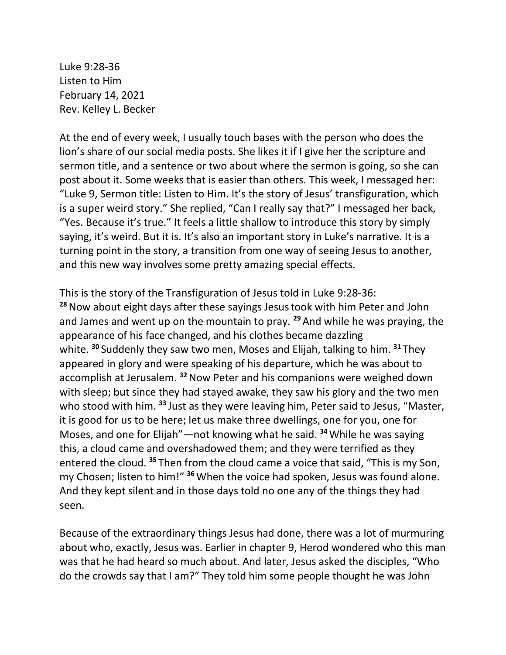Luke 9:28-36 Listen to Him February 14, 2021 Rev. Kelley L. Becker

At the end of every week, I usually touch bases with the person who does the lion's share of our social media posts. She likes it if I give her the scripture and sermon title, and a sentence or two about where the sermon is going, so she can post about it. Some weeks that is easier than others. This week, I messaged her: "Luke 9, Sermon title: Listen to Him. It's the story of Jesus' transfiguration, which is a super weird story." She replied, "Can I really say that?" I messaged her back, "Yes. Because it's true." It feels a little shallow to introduce this story by simply saying, it's weird. But it is. It's also an important story in Luke's narrative. It is a turning point in the story, a transition from one way of seeing Jesus to another, and this new way involves some pretty amazing special effects.

This is the story of the Transfiguration of Jesus told in Luke 9:28-36: **<sup>28</sup>**Now about eight days after these sayings Jesustook with him Peter and John and James and went up on the mountain to pray. **<sup>29</sup>** And while he was praying, the appearance of his face changed, and his clothes became dazzling white. **<sup>30</sup>** Suddenly they saw two men, Moses and Elijah, talking to him. **<sup>31</sup>** They appeared in glory and were speaking of his departure, which he was about to accomplish at Jerusalem. **<sup>32</sup>**Now Peter and his companions were weighed down with sleep; but since they had stayed awake, they saw his glory and the two men who stood with him. **<sup>33</sup>** Just as they were leaving him, Peter said to Jesus, "Master, it is good for us to be here; let us make three dwellings, one for you, one for Moses, and one for Elijah"—not knowing what he said. **<sup>34</sup>**While he was saying this, a cloud came and overshadowed them; and they were terrified as they entered the cloud. **<sup>35</sup>** Then from the cloud came a voice that said, "This is my Son, my Chosen; listen to him!" **<sup>36</sup>**When the voice had spoken, Jesus was found alone. And they kept silent and in those days told no one any of the things they had seen.

Because of the extraordinary things Jesus had done, there was a lot of murmuring about who, exactly, Jesus was. Earlier in chapter 9, Herod wondered who this man was that he had heard so much about. And later, Jesus asked the disciples, "Who do the crowds say that I am?" They told him some people thought he was John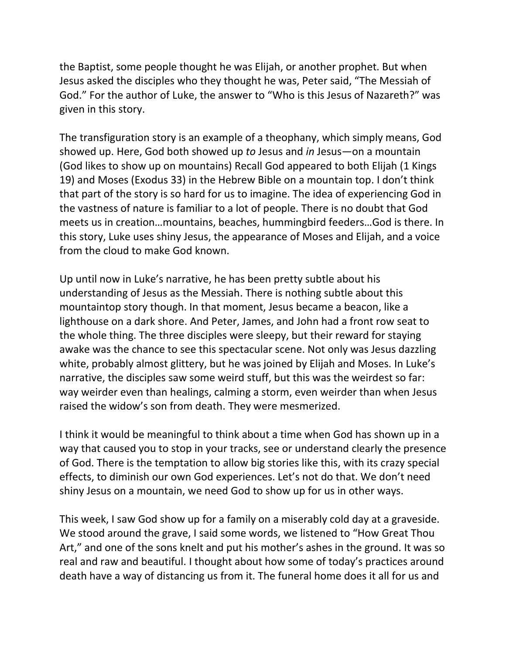the Baptist, some people thought he was Elijah, or another prophet. But when Jesus asked the disciples who they thought he was, Peter said, "The Messiah of God." For the author of Luke, the answer to "Who is this Jesus of Nazareth?" was given in this story.

The transfiguration story is an example of a theophany, which simply means, God showed up. Here, God both showed up *to* Jesus and *in* Jesus—on a mountain (God likes to show up on mountains) Recall God appeared to both Elijah (1 Kings 19) and Moses (Exodus 33) in the Hebrew Bible on a mountain top. I don't think that part of the story is so hard for us to imagine. The idea of experiencing God in the vastness of nature is familiar to a lot of people. There is no doubt that God meets us in creation…mountains, beaches, hummingbird feeders…God is there. In this story, Luke uses shiny Jesus, the appearance of Moses and Elijah, and a voice from the cloud to make God known.

Up until now in Luke's narrative, he has been pretty subtle about his understanding of Jesus as the Messiah. There is nothing subtle about this mountaintop story though. In that moment, Jesus became a beacon, like a lighthouse on a dark shore. And Peter, James, and John had a front row seat to the whole thing. The three disciples were sleepy, but their reward for staying awake was the chance to see this spectacular scene. Not only was Jesus dazzling white, probably almost glittery, but he was joined by Elijah and Moses. In Luke's narrative, the disciples saw some weird stuff, but this was the weirdest so far: way weirder even than healings, calming a storm, even weirder than when Jesus raised the widow's son from death. They were mesmerized.

I think it would be meaningful to think about a time when God has shown up in a way that caused you to stop in your tracks, see or understand clearly the presence of God. There is the temptation to allow big stories like this, with its crazy special effects, to diminish our own God experiences. Let's not do that. We don't need shiny Jesus on a mountain, we need God to show up for us in other ways.

This week, I saw God show up for a family on a miserably cold day at a graveside. We stood around the grave, I said some words, we listened to "How Great Thou Art," and one of the sons knelt and put his mother's ashes in the ground. It was so real and raw and beautiful. I thought about how some of today's practices around death have a way of distancing us from it. The funeral home does it all for us and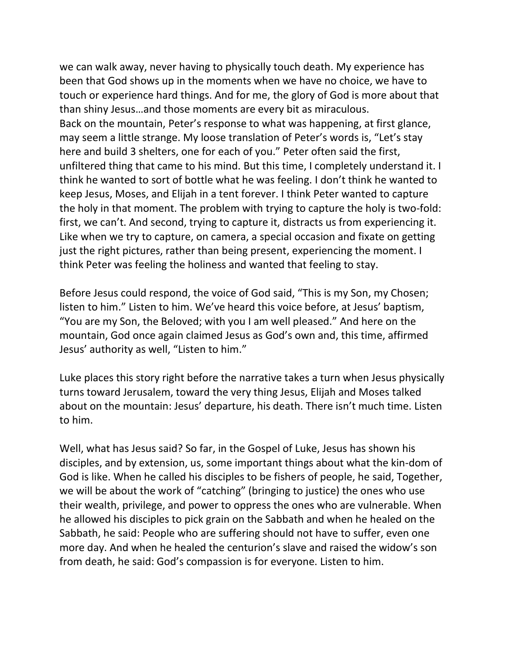we can walk away, never having to physically touch death. My experience has been that God shows up in the moments when we have no choice, we have to touch or experience hard things. And for me, the glory of God is more about that than shiny Jesus…and those moments are every bit as miraculous. Back on the mountain, Peter's response to what was happening, at first glance, may seem a little strange. My loose translation of Peter's words is, "Let's stay here and build 3 shelters, one for each of you." Peter often said the first, unfiltered thing that came to his mind. But this time, I completely understand it. I think he wanted to sort of bottle what he was feeling. I don't think he wanted to keep Jesus, Moses, and Elijah in a tent forever. I think Peter wanted to capture the holy in that moment. The problem with trying to capture the holy is two-fold: first, we can't. And second, trying to capture it, distracts us from experiencing it. Like when we try to capture, on camera, a special occasion and fixate on getting just the right pictures, rather than being present, experiencing the moment. I think Peter was feeling the holiness and wanted that feeling to stay.

Before Jesus could respond, the voice of God said, "This is my Son, my Chosen; listen to him." Listen to him. We've heard this voice before, at Jesus' baptism, "You are my Son, the Beloved; with you I am well pleased." And here on the mountain, God once again claimed Jesus as God's own and, this time, affirmed Jesus' authority as well, "Listen to him."

Luke places this story right before the narrative takes a turn when Jesus physically turns toward Jerusalem, toward the very thing Jesus, Elijah and Moses talked about on the mountain: Jesus' departure, his death. There isn't much time. Listen to him.

Well, what has Jesus said? So far, in the Gospel of Luke, Jesus has shown his disciples, and by extension, us, some important things about what the kin-dom of God is like. When he called his disciples to be fishers of people, he said, Together, we will be about the work of "catching" (bringing to justice) the ones who use their wealth, privilege, and power to oppress the ones who are vulnerable. When he allowed his disciples to pick grain on the Sabbath and when he healed on the Sabbath, he said: People who are suffering should not have to suffer, even one more day. And when he healed the centurion's slave and raised the widow's son from death, he said: God's compassion is for everyone. Listen to him.